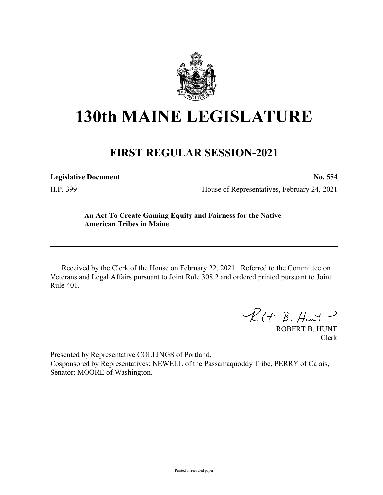

## **130th MAINE LEGISLATURE**

## **FIRST REGULAR SESSION-2021**

**Legislative Document No. 554**

H.P. 399 House of Representatives, February 24, 2021

## **An Act To Create Gaming Equity and Fairness for the Native American Tribes in Maine**

Received by the Clerk of the House on February 22, 2021. Referred to the Committee on Veterans and Legal Affairs pursuant to Joint Rule 308.2 and ordered printed pursuant to Joint Rule 401.

 $R(H B. H<sub>un</sub>+)$ 

ROBERT B. HUNT Clerk

Presented by Representative COLLINGS of Portland. Cosponsored by Representatives: NEWELL of the Passamaquoddy Tribe, PERRY of Calais, Senator: MOORE of Washington.